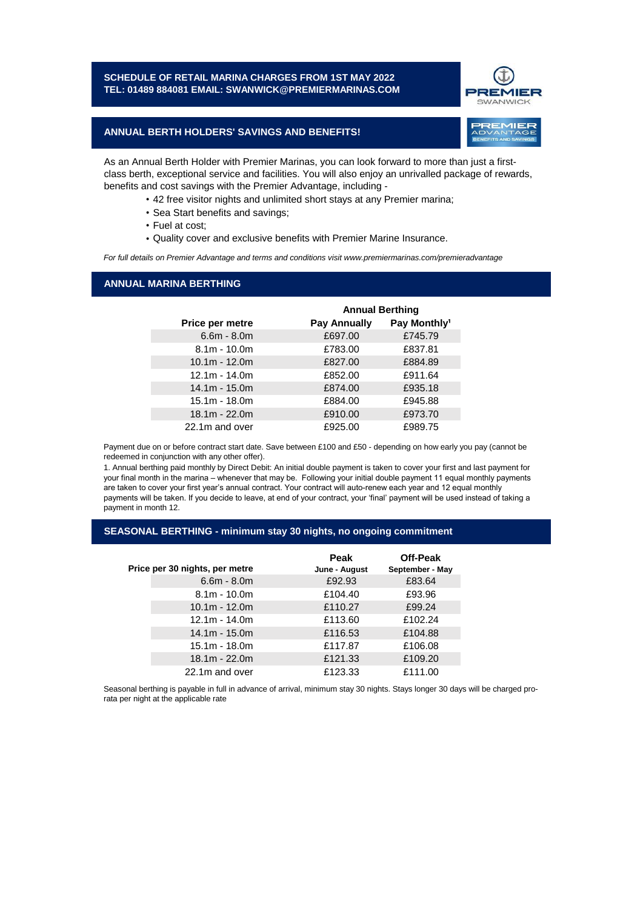### **SCHEDULE OF RETAIL MARINA CHARGES FROM 1ST MAY 2022 TEL: 01489 884081 EMAIL: SWANWICK@PREMIERMARINAS.COM**



REMIER

## **ANNUAL BERTH HOLDERS' SAVINGS AND BENEFITS!**

As an Annual Berth Holder with Premier Marinas, you can look forward to more than just a firstclass berth, exceptional service and facilities. You will also enjoy an unrivalled package of rewards, benefits and cost savings with the Premier Advantage, including -

- 42 free visitor nights and unlimited short stays at any Premier marina;
- Sea Start benefits and savings;
- Fuel at cost;
- Quality cover and exclusive benefits with Premier Marine Insurance.

*For full details on Premier Advantage and terms and conditions visit www.premiermarinas.com/premieradvantage*

## **ANNUAL MARINA BERTHING**

|                 | <b>Annual Berthing</b> |                          |
|-----------------|------------------------|--------------------------|
| Price per metre | <b>Pay Annually</b>    | Pay Monthly <sup>1</sup> |
| $6.6m - 8.0m$   | £697.00                | £745.79                  |
| $8.1m - 10.0m$  | £783.00                | £837.81                  |
| $10.1m - 12.0m$ | £827.00                | £884.89                  |
| $12.1m - 14.0m$ | £852.00                | £911.64                  |
| $14.1m - 15.0m$ | £874.00                | £935.18                  |
| $15.1m - 18.0m$ | £884.00                | £945.88                  |
| $18.1m - 22.0m$ | £910.00                | £973.70                  |
| 22.1m and over  | £925.00                | £989.75                  |

Payment due on or before contract start date. Save between £100 and £50 - depending on how early you pay (cannot be redeemed in conjunction with any other offer).

1. Annual berthing paid monthly by Direct Debit: An initial double payment is taken to cover your first and last payment for your final month in the marina – whenever that may be. Following your initial double payment 11 equal monthly payments are taken to cover your first year's annual contract. Your contract will auto-renew each year and 12 equal monthly payments will be taken. If you decide to leave, at end of your contract, your 'final' payment will be used instead of taking a payment in month 12.

#### **SEASONAL BERTHING - minimum stay 30 nights, no ongoing commitment**

|                                | Peak          | Off-Peak        |
|--------------------------------|---------------|-----------------|
| Price per 30 nights, per metre | June - August | September - May |
| $6.6m - 8.0m$                  | £92.93        | £83.64          |
| $8.1m - 10.0m$                 | £104.40       | £93.96          |
| $10.1m - 12.0m$                | £110.27       | £99.24          |
| $12.1m - 14.0m$                | £113.60       | £102.24         |
| $14.1m - 15.0m$                | £116.53       | £104.88         |
| $15.1m - 18.0m$                | £117.87       | £106.08         |
| $18.1m - 22.0m$                | £121.33       | £109.20         |
| 22.1m and over                 | £123.33       | £111.00         |

Seasonal berthing is payable in full in advance of arrival, minimum stay 30 nights. Stays longer 30 days will be charged prorata per night at the applicable rate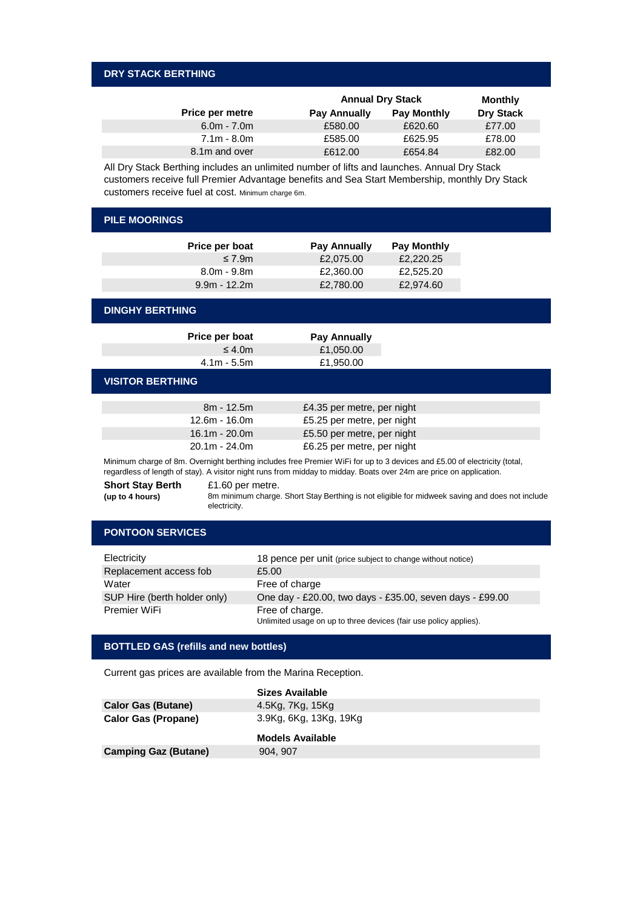## **DRY STACK BERTHING**

|                        | <b>Annual Dry Stack</b> |                    | Monthly          |
|------------------------|-------------------------|--------------------|------------------|
| <b>Price per metre</b> | Pay Annually            | <b>Pay Monthly</b> | <b>Dry Stack</b> |
| $6.0m - 7.0m$          | £580.00                 | £620.60            | £77.00           |
| $7.1m - 8.0m$          | £585.00                 | £625.95            | £78.00           |
| 8.1m and over          | £612.00                 | £654.84            | £82.00           |

All Dry Stack Berthing includes an unlimited number of lifts and launches. Annual Dry Stack customers receive full Premier Advantage benefits and Sea Start Membership, monthly Dry Stack customers receive fuel at cost. Minimum charge 6m.

| <b>PILE MOORINGS</b>                                                                                                     |                            |                    |  |
|--------------------------------------------------------------------------------------------------------------------------|----------------------------|--------------------|--|
| Price per boat                                                                                                           | Pay Annually               | <b>Pay Monthly</b> |  |
| $\leq 7.9m$                                                                                                              | £2,075.00                  | £2,220.25          |  |
| $8.0m - 9.8m$                                                                                                            | £2,360.00                  | £2,525.20          |  |
| $9.9m - 12.2m$                                                                                                           | £2,780.00                  | £2,974.60          |  |
| <b>DINGHY BERTHING</b>                                                                                                   |                            |                    |  |
| Price per boat                                                                                                           | <b>Pay Annually</b>        |                    |  |
| $\leq 4.0$ m                                                                                                             | £1,050.00                  |                    |  |
| $4.1m - 5.5m$                                                                                                            | £1,950.00                  |                    |  |
| <b>VISITOR BERTHING</b>                                                                                                  |                            |                    |  |
| $8m - 12.5m$                                                                                                             | £4.35 per metre, per night |                    |  |
| $12.6m - 16.0m$                                                                                                          | £5.25 per metre, per night |                    |  |
| $16.1m - 20.0m$                                                                                                          | £5.50 per metre, per night |                    |  |
| $20.1m - 24.0m$                                                                                                          | £6.25 per metre, per night |                    |  |
| Minimum charge of 8m. Overnight berthing includes free Premier WiFi for up to 3 devices and £5.00 of electricity (total, |                            |                    |  |

Minimum charge of 8m. Overnight berthing includes free Premier WiFi for up to 3 devices and £5.00 of electricity (total, regardless of length of stay). A visitor night runs from midday to midday. Boats over 24m are price on application.

**Short Stay Berth (up to 4 hours)**  £1.60 per metre.

8m minimum charge. Short Stay Berthing is not eligible for midweek saving and does not include electricity.

# **PONTOON SERVICES**

| Electricity                  | 18 pence per unit (price subject to change without notice)        |
|------------------------------|-------------------------------------------------------------------|
| Replacement access fob       | £5.00                                                             |
| Water                        | Free of charge                                                    |
| SUP Hire (berth holder only) | One day - £20.00, two days - £35.00, seven days - £99.00          |
| Premier WiFi                 | Free of charge.                                                   |
|                              | Unlimited usage on up to three devices (fair use policy applies). |

## **BOTTLED GAS (refills and new bottles)**

Current gas prices are available from the Marina Reception.

|                             | Sizes Available        |
|-----------------------------|------------------------|
| <b>Calor Gas (Butane)</b>   | 4.5Kg, 7Kg, 15Kg       |
| <b>Calor Gas (Propane)</b>  | 3.9Kg, 6Kg, 13Kg, 19Kg |
|                             | Models Available       |
| <b>Camping Gaz (Butane)</b> | 904, 907               |
|                             |                        |